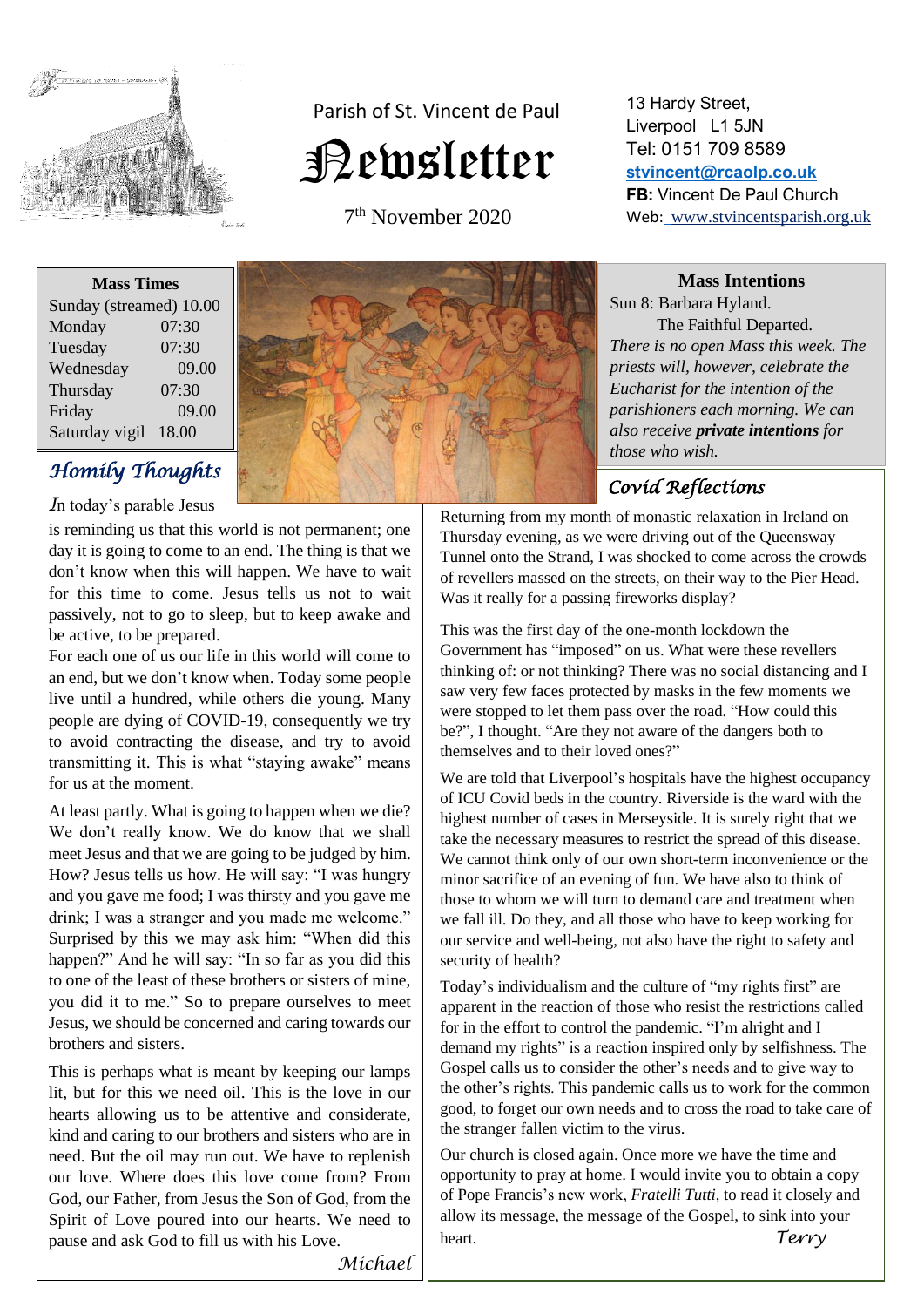

# Parish of St. Vincent de Paul Newsletter

7 th November 2020

| <b>Mass Times</b>       |       |
|-------------------------|-------|
| Sunday (streamed) 10.00 |       |
| Monday                  | 07:30 |
| Tuesday                 | 07:30 |
| Wednesday               | 09.00 |
| Thursday                | 07:30 |
| Friday                  | 09.00 |
| Saturday vigil          | 18.00 |

# *Homily Thoughts*

*I*n today's parable Jesus

is reminding us that this world is not permanent; one day it is going to come to an end. The thing is that we don't know when this will happen. We have to wait for this time to come. Jesus tells us not to wait passively, not to go to sleep, but to keep awake and be active, to be prepared.

For each one of us our life in this world will come to an end, but we don't know when. Today some people live until a hundred, while others die young. Many people are dying of COVID-19, consequently we try to avoid contracting the disease, and try to avoid transmitting it. This is what "staying awake" means for us at the moment.

At least partly. What is going to happen when we die? We don't really know. We do know that we shall meet Jesus and that we are going to be judged by him. How? Jesus tells us how. He will say: "I was hungry and you gave me food; I was thirsty and you gave me drink; I was a stranger and you made me welcome." Surprised by this we may ask him: "When did this happen?" And he will say: "In so far as you did this to one of the least of these brothers or sisters of mine, you did it to me." So to prepare ourselves to meet Jesus, we should be concerned and caring towards our brothers and sisters.

This is perhaps what is meant by keeping our lamps lit, but for this we need oil. This is the love in our hearts allowing us to be attentive and considerate, kind and caring to our brothers and sisters who are in need. But the oil may run out. We have to replenish our love. Where does this love come from? From God, our Father, from Jesus the Son of God, from the Spirit of Love poured into our hearts. We need to pause and ask God to fill us with his Love.



13 Hardy Street, Liverpool L1 5JN Tel: 0151 709 8589 **[stvincent@rcaolp.co.uk](mailto:stvincent@rcaolp.co.uk) FB:** Vincent De Paul Church Web: www.stvincentsparish.org.uk

**Mass Intentions**

Sun 8: Barbara Hyland.

 The Faithful Departed. *There is no open Mass this week. The priests will, however, celebrate the Eucharist for the intention of the parishioners each morning. We can also receive private intentions for those who wish.* 

## *Covid Reflections*

Returning from my month of monastic relaxation in Ireland on Thursday evening, as we were driving out of the Queensway Tunnel onto the Strand, I was shocked to come across the crowds of revellers massed on the streets, on their way to the Pier Head. Was it really for a passing fireworks display?

This was the first day of the one-month lockdown the Government has "imposed" on us. What were these revellers thinking of: or not thinking? There was no social distancing and I saw very few faces protected by masks in the few moments we were stopped to let them pass over the road. "How could this be?", I thought. "Are they not aware of the dangers both to themselves and to their loved ones?"

We are told that Liverpool's hospitals have the highest occupancy of ICU Covid beds in the country. Riverside is the ward with the highest number of cases in Merseyside. It is surely right that we take the necessary measures to restrict the spread of this disease. We cannot think only of our own short-term inconvenience or the minor sacrifice of an evening of fun. We have also to think of those to whom we will turn to demand care and treatment when we fall ill. Do they, and all those who have to keep working for our service and well-being, not also have the right to safety and security of health?

Today's individualism and the culture of "my rights first" are apparent in the reaction of those who resist the restrictions called for in the effort to control the pandemic. "I'm alright and I demand my rights" is a reaction inspired only by selfishness. The Gospel calls us to consider the other's needs and to give way to the other's rights. This pandemic calls us to work for the common good, to forget our own needs and to cross the road to take care of the stranger fallen victim to the virus.

Our church is closed again. Once more we have the time and opportunity to pray at home. I would invite you to obtain a copy of Pope Francis's new work, *Fratelli Tutti*, to read it closely and allow its message, the message of the Gospel, to sink into your heart. *Terry* 

*Michael*